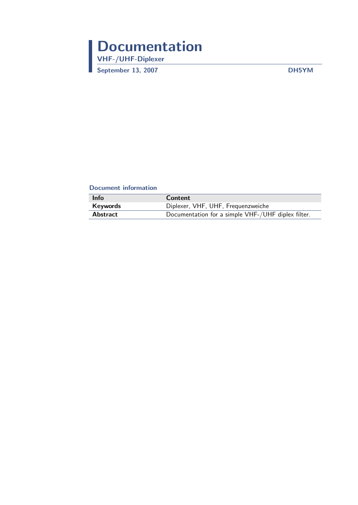# <span id="page-0-0"></span>Documentation VHF-/UHF-Diplexer

September 13, 2007 DH5YM

#### Document information

| <b>Info</b> | <b>Content</b>                                     |
|-------------|----------------------------------------------------|
| Keywords    | Diplexer, VHF, UHF, Frequenzweiche                 |
| Abstract    | Documentation for a simple VHF-/UHF diplex filter. |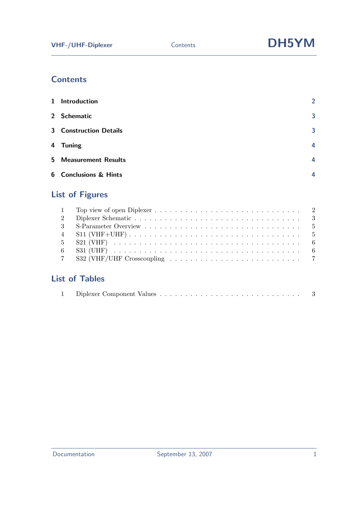# **Contents**

| 1 Introduction                | $\overline{2}$ |
|-------------------------------|----------------|
| 2 Schematic                   | 3              |
| <b>3</b> Construction Details | 3              |
| 4 Tuning                      | 4              |
| <b>5</b> Measurement Results  | 4              |
| <b>6</b> Conclusions & Hints  | Δ              |

# List of Figures

| 2 |  |
|---|--|
|   |  |
|   |  |
|   |  |
|   |  |
|   |  |
|   |  |

## List of Tables

| - |  | Diplexer Component Values |  |  |  |  |  |  | . |  |  |  |  |  |  |  |  |  |  |  |  |  |  |  |  |  |  |  |  |  |  |  |
|---|--|---------------------------|--|--|--|--|--|--|---|--|--|--|--|--|--|--|--|--|--|--|--|--|--|--|--|--|--|--|--|--|--|--|
|---|--|---------------------------|--|--|--|--|--|--|---|--|--|--|--|--|--|--|--|--|--|--|--|--|--|--|--|--|--|--|--|--|--|--|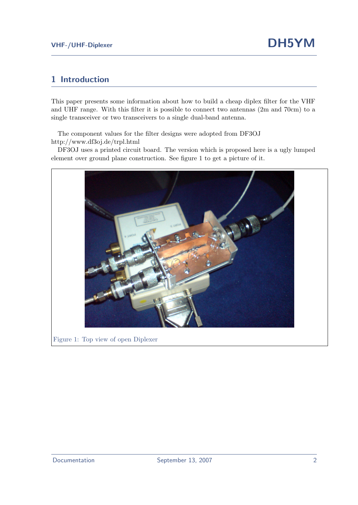#### <span id="page-2-0"></span>1 Introduction

This paper presents some information about how to build a cheap diplex filter for the VHF and UHF range. With this filter it is possible to connect two antennas (2m and 70cm) to a single transceiver or two transceivers to a single dual-band antenna.

The component values for the filter designs were adopted from DF3OJ [http://www.df3oj.de/trpl.html](#page-0-0)

DF3OJ uses a printed circuit board. The version which is proposed here is a ugly lumped element over ground plane construction. See figure [1](#page-2-1) to get a picture of it.

<span id="page-2-1"></span>

Figure 1: Top view of open Diplexer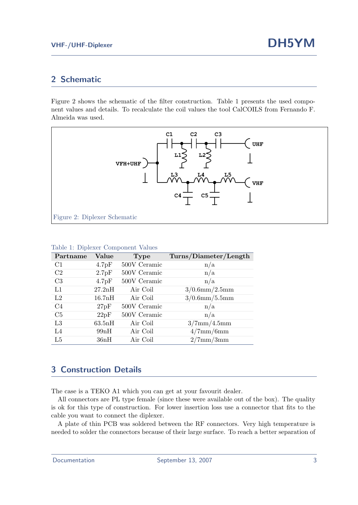### <span id="page-3-0"></span>2 Schematic

Figure [2](#page-3-2) shows the schematic of the filter construction. Table [1](#page-3-3) presents the used component values and details. To recalculate the coil values the tool CalCOILS from Fernando F. Almeida was used.



| Partname       | Value  | <b>Type</b>  | Turns/Diameter/Length |
|----------------|--------|--------------|-----------------------|
| C1             | 4.7pF  | 500V Ceramic | n/a                   |
| C2             | 2.7pF  | 500V Ceramic | n/a                   |
| C <sub>3</sub> | 4.7pF  | 500V Ceramic | n/a                   |
| L1             | 27.2nH | Air Coil     | $3/0.6$ mm $/2.5$ mm  |
| L2             | 16.7nH | Air Coil     | $3/0.6$ mm $/5.5$ mm  |
| C <sub>4</sub> | 27pF   | 500V Ceramic | n/a                   |
| C <sub>5</sub> | 22pF   | 500V Ceramic | n/a                   |
| L3             | 63.5nH | Air Coil     | $3/7$ mm $/4.5$ mm    |
| L4             | 99nH   | Air Coil     | $4/7$ mm/6mm          |
| L5             | 36nH   | Air Coil     | $2/7$ mm $/3$ mm      |

#### <span id="page-3-3"></span><span id="page-3-2"></span>Table 1: Diplexer Component Values

### <span id="page-3-1"></span>3 Construction Details

The case is a TEKO A1 which you can get at your favourit dealer.

All connectors are PL type female (since these were available out of the box). The quality is ok for this type of construction. For lower insertion loss use a connector that fits to the cable you want to connect the diplexer.

A plate of thin PCB was soldered between the RF connectors. Very high temperature is needed to solder the connectors because of their large surface. To reach a better separation of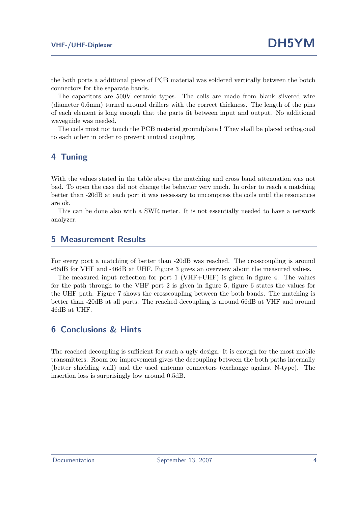the both ports a additional piece of PCB material was soldered vertically between the botch connectors for the separate bands.

The capacitors are 500V ceramic types. The coils are made from blank silvered wire (diameter 0.6mm) turned around drillers with the correct thickness. The length of the pins of each element is long enough that the parts fit between input and output. No additional waveguide was needed.

The coils must not touch the PCB material groundplane ! They shall be placed orthogonal to each other in order to prevent mutual coupling.

#### <span id="page-4-0"></span>4 Tuning

With the values stated in the table above the matching and cross band attenuation was not bad. To open the case did not change the behavior very much. In order to reach a matching better than -20dB at each port it was necessary to uncompress the coils until the resonances are ok.

This can be done also with a SWR meter. It is not essentially needed to have a network analyzer.

#### <span id="page-4-1"></span>5 Measurement Results

For every port a matching of better than -20dB was reached. The crosscoupling is around -66dB for VHF and -46dB at UHF. Figure [3](#page-5-0) gives an overview about the measured values.

The measured input reflection for port 1 (VHF+UHF) is given in figure [4.](#page-5-1) The values for the path through to the VHF port 2 is given in figure [5,](#page-6-0) figure [6](#page-6-1) states the values for the UHF path. Figure [7](#page-7-0) shows the crosscoupling between the both bands. The matching is better than -20dB at all ports. The reached decoupling is around 66dB at VHF and around 46dB at UHF.

#### <span id="page-4-2"></span>6 Conclusions & Hints

The reached decoupling is sufficient for such a ugly design. It is enough for the most mobile transmitters. Room for improvement gives the decoupling between the both paths internally (better shielding wall) and the used antenna connectors (exchange against N-type). The insertion loss is surprisingly low around 0.5dB.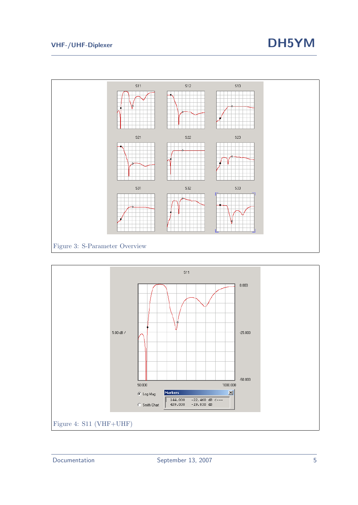# VHF-/UHF-Diplexer **DH5YM**



<span id="page-5-1"></span><span id="page-5-0"></span>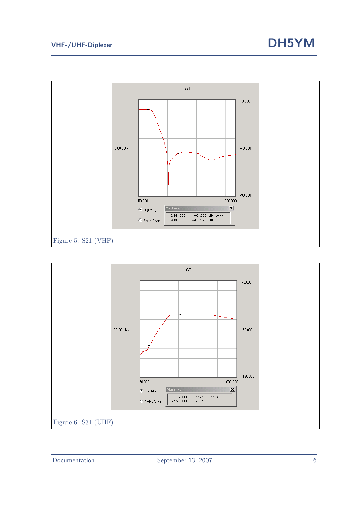

<span id="page-6-1"></span><span id="page-6-0"></span>